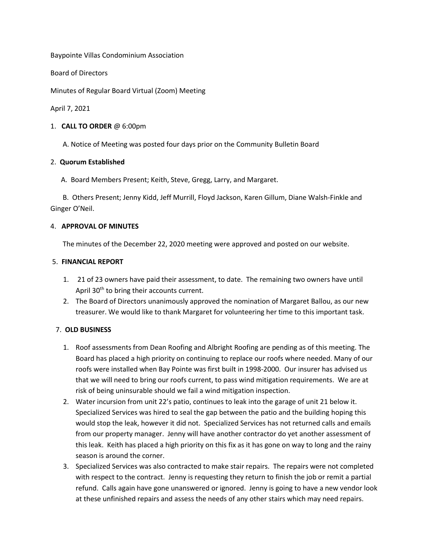Baypointe Villas Condominium Association

Board of Directors

Minutes of Regular Board Virtual (Zoom) Meeting

April 7, 2021

#### 1. **CALL TO ORDER** @ 6:00pm

A. Notice of Meeting was posted four days prior on the Community Bulletin Board

### 2. **Quorum Established**

A. Board Members Present; Keith, Steve, Gregg, Larry, and Margaret.

 B. Others Present; Jenny Kidd, Jeff Murrill, Floyd Jackson, Karen Gillum, Diane Walsh-Finkle and Ginger O'Neil.

### 4. **APPROVAL OF MINUTES**

The minutes of the December 22, 2020 meeting were approved and posted on our website.

### 5. **FINANCIAL REPORT**

- 1. 21 of 23 owners have paid their assessment, to date. The remaining two owners have until April 30<sup>th</sup> to bring their accounts current.
- 2. The Board of Directors unanimously approved the nomination of Margaret Ballou, as our new treasurer. We would like to thank Margaret for volunteering her time to this important task.

## 7. **OLD BUSINESS**

- 1. Roof assessments from Dean Roofing and Albright Roofing are pending as of this meeting. The Board has placed a high priority on continuing to replace our roofs where needed. Many of our roofs were installed when Bay Pointe was first built in 1998-2000. Our insurer has advised us that we will need to bring our roofs current, to pass wind mitigation requirements. We are at risk of being uninsurable should we fail a wind mitigation inspection.
- 2. Water incursion from unit 22's patio, continues to leak into the garage of unit 21 below it. Specialized Services was hired to seal the gap between the patio and the building hoping this would stop the leak, however it did not. Specialized Services has not returned calls and emails from our property manager. Jenny will have another contractor do yet another assessment of this leak. Keith has placed a high priority on this fix as it has gone on way to long and the rainy season is around the corner.
- 3. Specialized Services was also contracted to make stair repairs. The repairs were not completed with respect to the contract. Jenny is requesting they return to finish the job or remit a partial refund. Calls again have gone unanswered or ignored. Jenny is going to have a new vendor look at these unfinished repairs and assess the needs of any other stairs which may need repairs.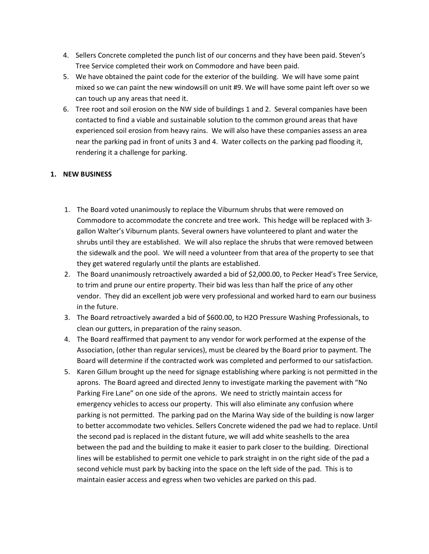- 4. Sellers Concrete completed the punch list of our concerns and they have been paid. Steven's Tree Service completed their work on Commodore and have been paid.
- 5. We have obtained the paint code for the exterior of the building. We will have some paint mixed so we can paint the new windowsill on unit #9. We will have some paint left over so we can touch up any areas that need it.
- 6. Tree root and soil erosion on the NW side of buildings 1 and 2. Several companies have been contacted to find a viable and sustainable solution to the common ground areas that have experienced soil erosion from heavy rains. We will also have these companies assess an area near the parking pad in front of units 3 and 4. Water collects on the parking pad flooding it, rendering it a challenge for parking.

# **1. NEW BUSINESS**

- 1. The Board voted unanimously to replace the Viburnum shrubs that were removed on Commodore to accommodate the concrete and tree work. This hedge will be replaced with 3 gallon Walter's Viburnum plants. Several owners have volunteered to plant and water the shrubs until they are established. We will also replace the shrubs that were removed between the sidewalk and the pool. We will need a volunteer from that area of the property to see that they get watered regularly until the plants are established.
- 2. The Board unanimously retroactively awarded a bid of \$2,000.00, to Pecker Head's Tree Service, to trim and prune our entire property. Their bid was less than half the price of any other vendor. They did an excellent job were very professional and worked hard to earn our business in the future.
- 3. The Board retroactively awarded a bid of \$600.00, to H2O Pressure Washing Professionals, to clean our gutters, in preparation of the rainy season.
- 4. The Board reaffirmed that payment to any vendor for work performed at the expense of the Association, (other than regular services), must be cleared by the Board prior to payment. The Board will determine if the contracted work was completed and performed to our satisfaction.
- 5. Karen Gillum brought up the need for signage establishing where parking is not permitted in the aprons. The Board agreed and directed Jenny to investigate marking the pavement with "No Parking Fire Lane" on one side of the aprons. We need to strictly maintain access for emergency vehicles to access our property. This will also eliminate any confusion where parking is not permitted. The parking pad on the Marina Way side of the building is now larger to better accommodate two vehicles. Sellers Concrete widened the pad we had to replace. Until the second pad is replaced in the distant future, we will add white seashells to the area between the pad and the building to make it easier to park closer to the building. Directional lines will be established to permit one vehicle to park straight in on the right side of the pad a second vehicle must park by backing into the space on the left side of the pad. This is to maintain easier access and egress when two vehicles are parked on this pad.